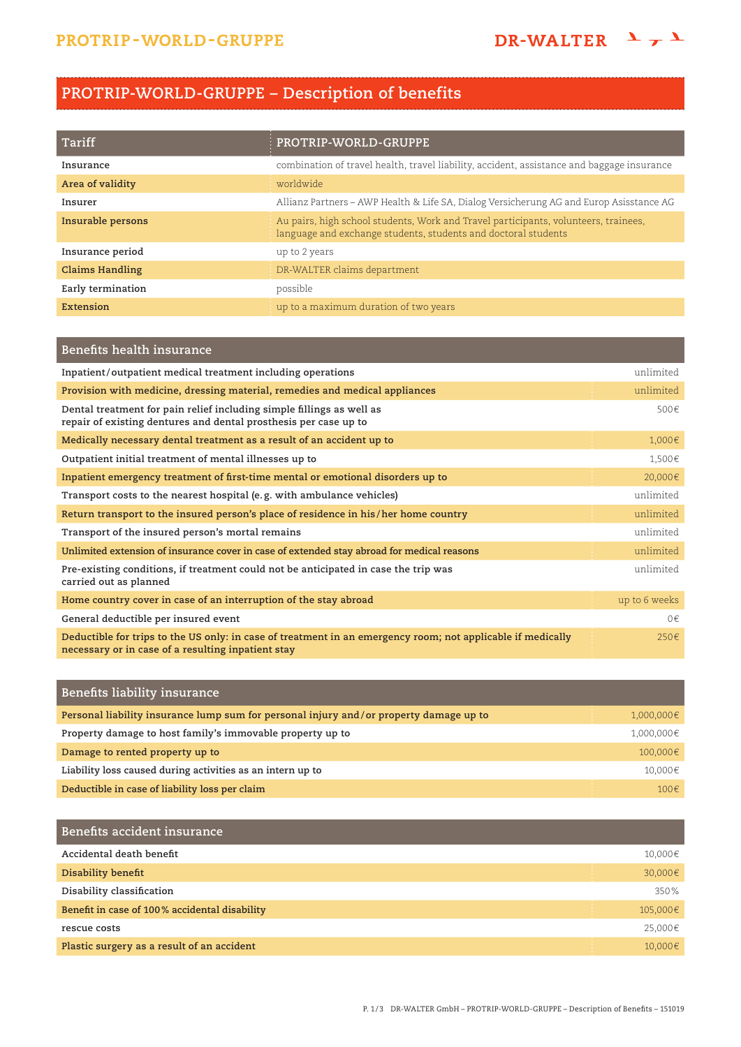## **PROTRIP-WORLD-GRUPPE – Description of benefits**

| Tariff                 | PROTRIP-WORLD-GRUPPE                                                                                                                                  |
|------------------------|-------------------------------------------------------------------------------------------------------------------------------------------------------|
| Insurance              | combination of travel health, travel liability, accident, assistance and baggage insurance                                                            |
| Area of validity       | worldwide                                                                                                                                             |
| Insurer                | Allianz Partners - AWP Health & Life SA, Dialog Versicherung AG and Europ Asisstance AG                                                               |
| Insurable persons      | Au pairs, high school students, Work and Travel participants, volunteers, trainees,<br>language and exchange students, students and doctoral students |
| Insurance period       | up to 2 years                                                                                                                                         |
| <b>Claims Handling</b> | DR-WALTER claims department                                                                                                                           |
| Early termination      | possible                                                                                                                                              |
| Extension              | up to a maximum duration of two years                                                                                                                 |

| Benefits health insurance                                                                                                                                         |               |
|-------------------------------------------------------------------------------------------------------------------------------------------------------------------|---------------|
| Inpatient/outpatient medical treatment including operations                                                                                                       | unlimited     |
| Provision with medicine, dressing material, remedies and medical appliances                                                                                       | unlimited     |
| Dental treatment for pain relief including simple fillings as well as<br>repair of existing dentures and dental prosthesis per case up to                         | 500€          |
| Medically necessary dental treatment as a result of an accident up to                                                                                             | 1,000€        |
| Outpatient initial treatment of mental illnesses up to                                                                                                            | 1,500€        |
| Inpatient emergency treatment of first-time mental or emotional disorders up to                                                                                   | 20,000€       |
| Transport costs to the nearest hospital (e.g. with ambulance vehicles)                                                                                            | unlimited     |
| Return transport to the insured person's place of residence in his/her home country                                                                               | unlimited     |
| Transport of the insured person's mortal remains                                                                                                                  | unlimited     |
| Unlimited extension of insurance cover in case of extended stay abroad for medical reasons                                                                        | unlimited     |
| Pre-existing conditions, if treatment could not be anticipated in case the trip was<br>carried out as planned                                                     | unlimited     |
| Home country cover in case of an interruption of the stay abroad                                                                                                  | up to 6 weeks |
| General deductible per insured event                                                                                                                              | 0€            |
| Deductible for trips to the US only: in case of treatment in an emergency room; not applicable if medically<br>necessary or in case of a resulting inpatient stay | $250 \in$     |

| Benefits liability insurance                                                           |            |
|----------------------------------------------------------------------------------------|------------|
| Personal liability insurance lump sum for personal injury and/or property damage up to | 1,000,000€ |
| Property damage to host family's immovable property up to                              | 1,000,000€ |
| Damage to rented property up to                                                        | 100,000€   |
| Liability loss caused during activities as an intern up to                             | 10,000€    |
| Deductible in case of liability loss per claim                                         | 100€       |

| Benefits accident insurance                   |          |
|-----------------------------------------------|----------|
| Accidental death benefit                      | 10,000€  |
| Disability benefit                            | 30,000€  |
| Disability classification                     | 350%     |
| Benefit in case of 100% accidental disability | 105,000€ |
| rescue costs                                  | 25,000€  |
| Plastic surgery as a result of an accident    | 10.000€  |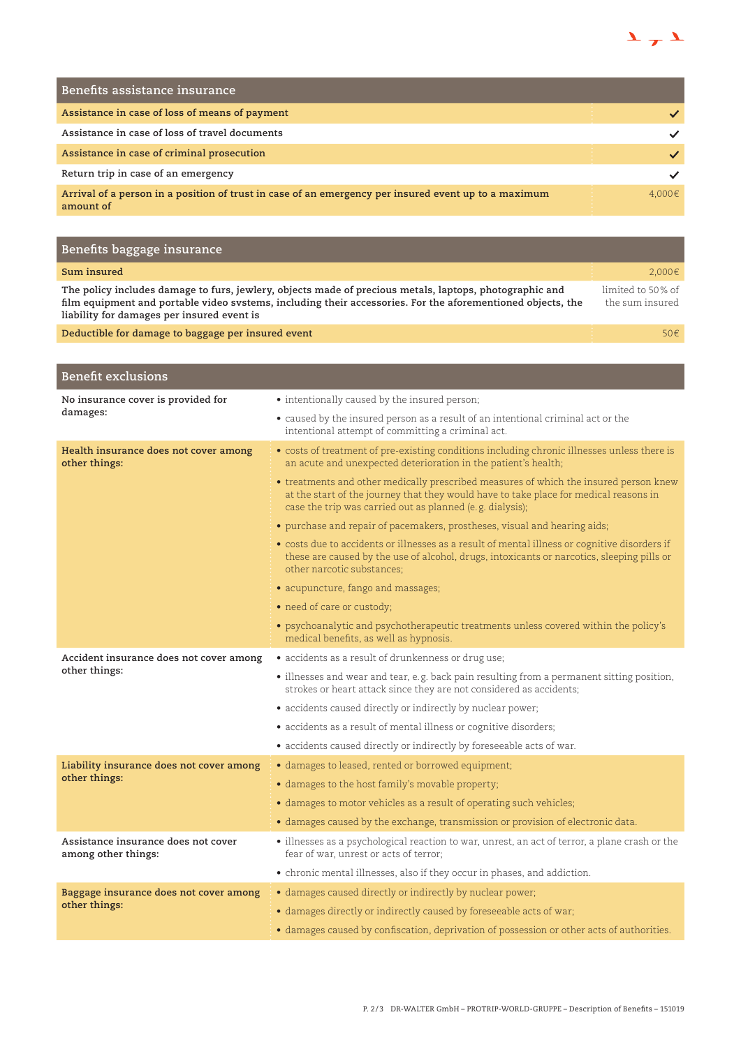

| Benefits assistance insurance                                                                                     |        |
|-------------------------------------------------------------------------------------------------------------------|--------|
| Assistance in case of loss of means of payment                                                                    |        |
| Assistance in case of loss of travel documents                                                                    |        |
| Assistance in case of criminal prosecution                                                                        |        |
| Return trip in case of an emergency                                                                               |        |
| Arrival of a person in a position of trust in case of an emergency per insured event up to a maximum<br>amount of | 4.000€ |

| Benefits baggage insurance                                                                                                                                                                                                                                           |                                      |
|----------------------------------------------------------------------------------------------------------------------------------------------------------------------------------------------------------------------------------------------------------------------|--------------------------------------|
| Sum insured                                                                                                                                                                                                                                                          | $2.000 \in$                          |
| The policy includes damage to furs, jewlery, objects made of precious metals, laptops, photographic and<br>film equipment and portable video systems, including their accessories. For the aforementioned objects, the<br>liability for damages per insured event is | limited to 50% of<br>the sum insured |
| Deductible for damage to baggage per insured event                                                                                                                                                                                                                   | 50 $\epsilon$                        |

| <b>Benefit exclusions</b>                                  |                                                                                                                                                                                                                                             |
|------------------------------------------------------------|---------------------------------------------------------------------------------------------------------------------------------------------------------------------------------------------------------------------------------------------|
| No insurance cover is provided for<br>damages:             | • intentionally caused by the insured person;                                                                                                                                                                                               |
|                                                            | • caused by the insured person as a result of an intentional criminal act or the<br>intentional attempt of committing a criminal act.                                                                                                       |
| Health insurance does not cover among<br>other things:     | • costs of treatment of pre-existing conditions including chronic illnesses unless there is<br>an acute and unexpected deterioration in the patient's health;                                                                               |
|                                                            | • treatments and other medically prescribed measures of which the insured person knew<br>at the start of the journey that they would have to take place for medical reasons in<br>case the trip was carried out as planned (e.g. dialysis); |
|                                                            | • purchase and repair of pacemakers, prostheses, visual and hearing aids;                                                                                                                                                                   |
|                                                            | • costs due to accidents or illnesses as a result of mental illness or cognitive disorders if<br>these are caused by the use of alcohol, drugs, intoxicants or narcotics, sleeping pills or<br>other narcotic substances:                   |
|                                                            | • acupuncture, fango and massages;                                                                                                                                                                                                          |
|                                                            | • need of care or custody;                                                                                                                                                                                                                  |
|                                                            | • psychoanalytic and psychotherapeutic treatments unless covered within the policy's<br>medical benefits, as well as hypnosis.                                                                                                              |
| Accident insurance does not cover among                    | • accidents as a result of drunkenness or drug use;                                                                                                                                                                                         |
| other things:                                              | • illnesses and wear and tear, e.g. back pain resulting from a permanent sitting position,<br>strokes or heart attack since they are not considered as accidents;                                                                           |
|                                                            | • accidents caused directly or indirectly by nuclear power;                                                                                                                                                                                 |
|                                                            | • accidents as a result of mental illness or cognitive disorders;                                                                                                                                                                           |
|                                                            | • accidents caused directly or indirectly by foreseeable acts of war.                                                                                                                                                                       |
| Liability insurance does not cover among                   | · damages to leased, rented or borrowed equipment;                                                                                                                                                                                          |
| other things:                                              | · damages to the host family's movable property;                                                                                                                                                                                            |
|                                                            | • damages to motor vehicles as a result of operating such vehicles;                                                                                                                                                                         |
|                                                            | · damages caused by the exchange, transmission or provision of electronic data.                                                                                                                                                             |
| Assistance insurance does not cover<br>among other things: | · illnesses as a psychological reaction to war, unrest, an act of terror, a plane crash or the<br>fear of war, unrest or acts of terror:                                                                                                    |
|                                                            | • chronic mental illnesses, also if they occur in phases, and addiction.                                                                                                                                                                    |
| Baggage insurance does not cover among                     | · damages caused directly or indirectly by nuclear power;                                                                                                                                                                                   |
| other things:                                              | • damages directly or indirectly caused by foreseeable acts of war;                                                                                                                                                                         |
|                                                            | • damages caused by confiscation, deprivation of possession or other acts of authorities.                                                                                                                                                   |